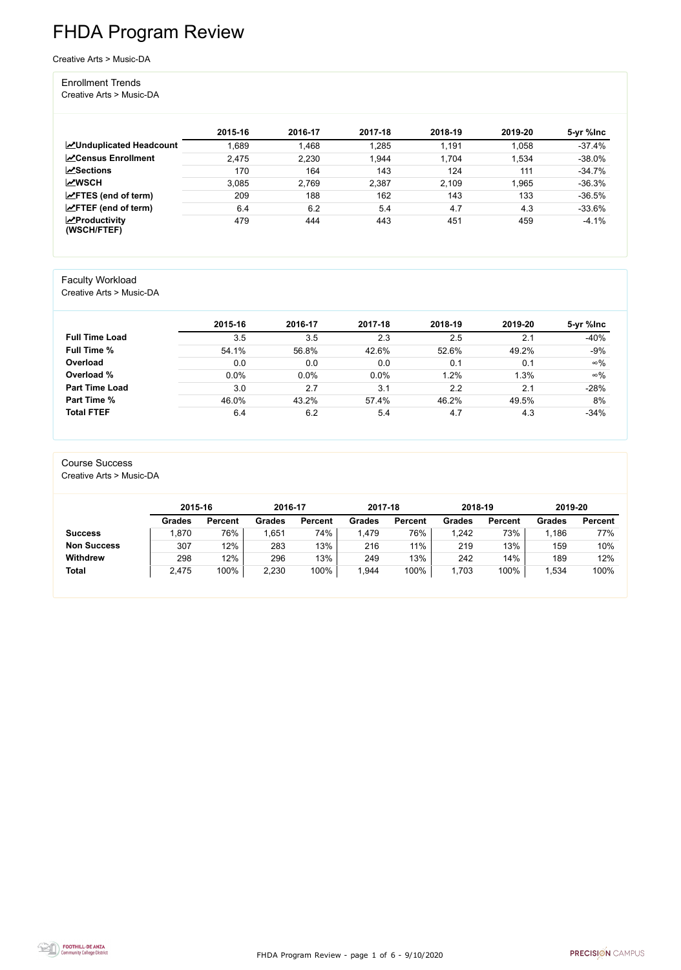FHDA Program Review - page 1 of 6 - 9/10/2020



# FHDA Program Review

Creative Arts > Music-DA

#### Enrollment Trends

Creative Arts > Music-DA

|                                                  | 2015-16 | 2016-17 | 2017-18 | 2018-19 | 2019-20 | 5-yr %lnc |
|--------------------------------------------------|---------|---------|---------|---------|---------|-----------|
| <b>ZUnduplicated Headcount</b>                   | ,689    | 1,468   | 1,285   | 1,191   | 1,058   | $-37.4%$  |
| <b>∠</b> Census Enrollment                       | 2,475   | 2,230   | 1,944   | 1,704   | 1,534   | $-38.0%$  |
| <b>ZSections</b>                                 | 170     | 164     | 143     | 124     | 111     | $-34.7%$  |
| <b>MWSCH</b>                                     | 3.085   | 2,769   | 2,387   | 2,109   | 1,965   | $-36.3%$  |
| $\angle$ FTES (end of term)                      | 209     | 188     | 162     | 143     | 133     | $-36.5%$  |
| $\angle$ FTEF (end of term)                      | 6.4     | 6.2     | 5.4     | 4.7     | 4.3     | $-33.6%$  |
| $\sqrt{\frac{1}{2}}$ Productivity<br>(WSCH/FTEF) | 479     | 444     | 443     | 451     | 459     | $-4.1%$   |

#### Faculty Workload

Creative Arts > Music-DA

|                       | 2015-16 | 2016-17 | 2017-18 | 2018-19 | 2019-20 | 5-yr %lnc  |
|-----------------------|---------|---------|---------|---------|---------|------------|
| <b>Full Time Load</b> | 3.5     | 3.5     | 2.3     | 2.5     | 2.1     | $-40%$     |
| <b>Full Time %</b>    | 54.1%   | 56.8%   | 42.6%   | 52.6%   | 49.2%   | $-9%$      |
| Overload              | 0.0     | 0.0     | 0.0     | 0.1     | 0.1     | $\infty\%$ |
| Overload %            | 0.0%    | $0.0\%$ | 0.0%    | 1.2%    | 1.3%    | $\infty\%$ |
| <b>Part Time Load</b> | 3.0     | 2.7     | 3.1     | 2.2     | 2.1     | $-28%$     |
| <b>Part Time %</b>    | 46.0%   | 43.2%   | 57.4%   | 46.2%   | 49.5%   | 8%         |
| <b>Total FTEF</b>     | 6.4     | 6.2     | 5.4     | 4.7     | 4.3     | $-34%$     |

## Course Success

Creative Arts > Music-DA

|                    | 2015-16       |                | 2016-17 |                | 2017-18 |                | 2018-19       |                | 2019-20       |                |
|--------------------|---------------|----------------|---------|----------------|---------|----------------|---------------|----------------|---------------|----------------|
|                    | <b>Grades</b> | <b>Percent</b> | Grades  | <b>Percent</b> | Grades  | <b>Percent</b> | <b>Grades</b> | <b>Percent</b> | <b>Grades</b> | <b>Percent</b> |
| <b>Success</b>     | .870          | 76%            | ,651    | 74%            | .479    | 76%            | ,242          | 73%            | 1,186         | 77%            |
| <b>Non Success</b> | 307           | 12%            | 283     | 13%            | 216     | 11%            | 219           | 13%            | 159           | 10%            |
| <b>Withdrew</b>    | 298           | 12%            | 296     | 13%            | 249     | 13%            | 242           | 14%            | 189           | 12%            |
| <b>Total</b>       | 2,475         | 100%           | 2,230   | 100%           | .944    | 100%           | ,703          | 100%           | 1,534         | 100%           |

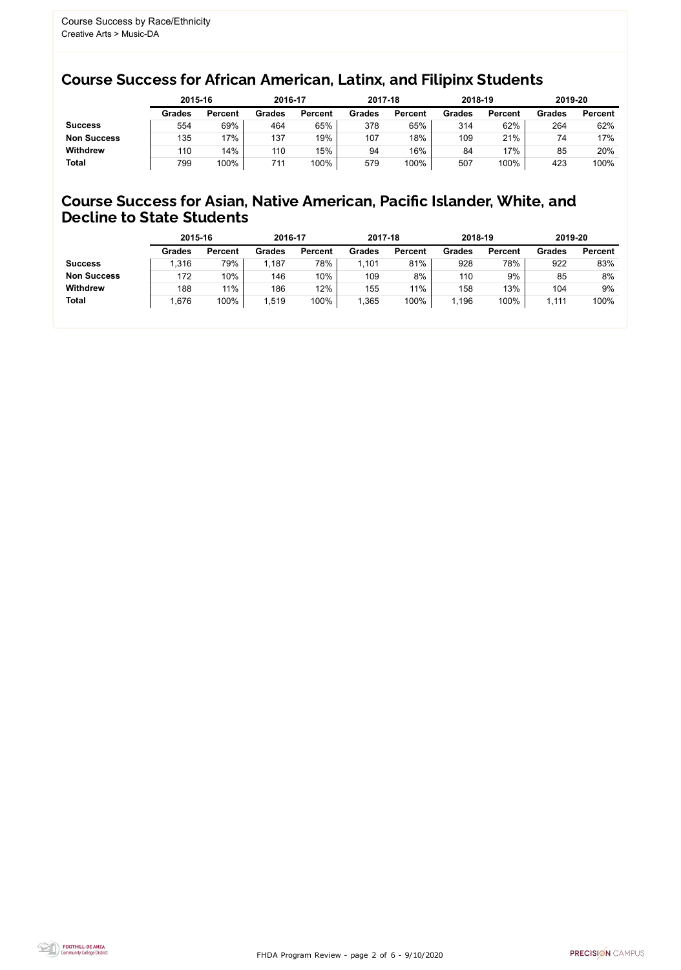FHDA Program Review - page 2 of 6 - 9/10/2020



### Course Success for African American, Latinx, and Filipinx Students

#### Course Success for Asian, Native American, Pacific Islander, White, and Decline to State Students

|                    | 2015-16       |                | 2016-17       |                | 2017-18       |                | 2018-19       |                | 2019-20 |                |
|--------------------|---------------|----------------|---------------|----------------|---------------|----------------|---------------|----------------|---------|----------------|
|                    | <b>Grades</b> | <b>Percent</b> | <b>Grades</b> | <b>Percent</b> | <b>Grades</b> | <b>Percent</b> | <b>Grades</b> | <b>Percent</b> | Grades  | <b>Percent</b> |
| <b>Success</b>     | 554           | 69%            | 464           | 65%            | 378           | 65%            | 314           | 62%            | 264     | 62%            |
| <b>Non Success</b> | 135           | 17%            | 137           | 19%            | 107           | 18%            | 109           | 21%            | 74      | 17%            |
| <b>Withdrew</b>    | 110           | 14%            | 110           | 15%            | 94            | 16%            | 84            | 17%            | 85      | 20%            |
| <b>Total</b>       | 799           | 100%           | 711           | 100%           | 579           | 100%           | 507           | 100%           | 423     | 100%           |

|                    | 2015-16       |                | 2016-17       |                | 2017-18       |                | 2018-19       |                | 2019-20       |                |
|--------------------|---------------|----------------|---------------|----------------|---------------|----------------|---------------|----------------|---------------|----------------|
|                    | <b>Grades</b> | <b>Percent</b> | <b>Grades</b> | <b>Percent</b> | <b>Grades</b> | <b>Percent</b> | <b>Grades</b> | <b>Percent</b> | <b>Grades</b> | <b>Percent</b> |
| <b>Success</b>     | 1,316         | 79%            | .187          | 78%            | ,101          | 81%            | 928           | 78%            | 922           | 83%            |
| <b>Non Success</b> | 172           | 10%            | 146           | 10%            | 109           | 8%             | 110           | 9%             | 85            | 8%             |
| <b>Withdrew</b>    | 188           | 11%            | 186           | 12%            | 155           | 11%            | 158           | 13%            | 104           | 9%             |
| <b>Total</b>       | 1,676         | 100%           | 1,519         | 100%           | ,365          | 100%           | ,196          | 100%           | 1,111         | 100%           |
|                    |               |                |               |                |               |                |               |                |               |                |

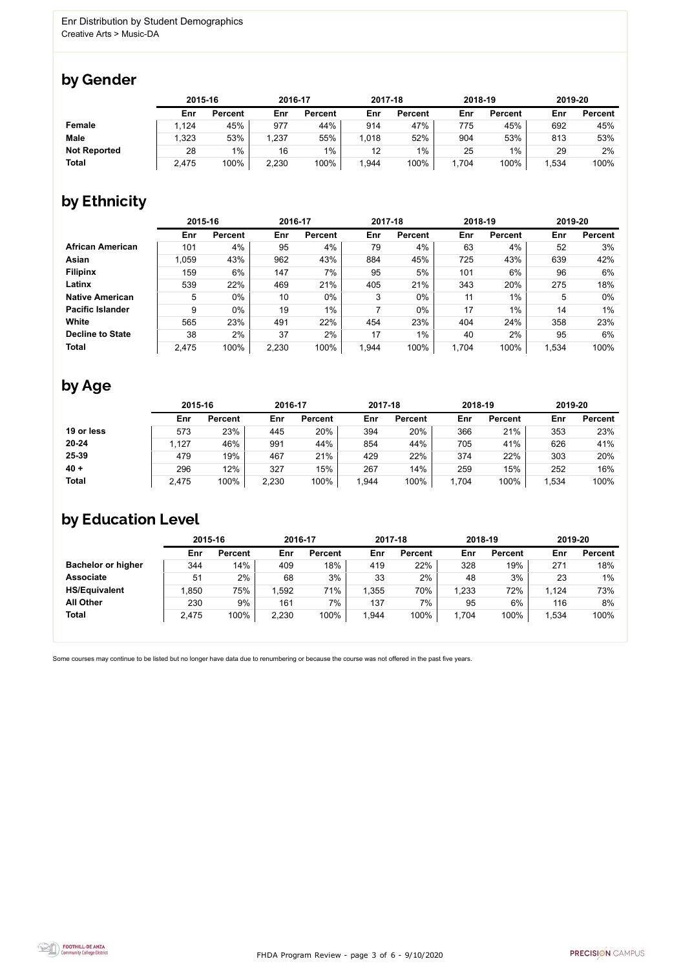

Some courses may continue to be listed but no longer have data due to renumbering or because the course was not offered in the past five years.



### by Gender

|                     | 2015-16 |                | 2016-17 |                | 2017-18 |                | 2018-19 |                | 2019-20 |                |
|---------------------|---------|----------------|---------|----------------|---------|----------------|---------|----------------|---------|----------------|
|                     | Enr     | <b>Percent</b> | Enr     | <b>Percent</b> | Enr     | <b>Percent</b> | Enr     | <b>Percent</b> | Enr     | <b>Percent</b> |
| <b>Female</b>       | 1,124   | 45%            | 977     | 44%            | 914     | 47%            | 775     | 45%            | 692     | 45%            |
| <b>Male</b>         | ,323    | 53%            | ,237    | 55%            | 1,018   | 52%            | 904     | 53%            | 813     | 53%            |
| <b>Not Reported</b> | 28      | $1\%$          | 16      | $1\%$          | 12      | $1\%$          | 25      | $1\%$          | 29      | $2\%$          |
| <b>Total</b>        | 2,475   | 100%           | 2,230   | 100%           | 1,944   | 100%           | ,704    | 100%           | 534, ا  | 100%           |

## by Ethnicity

|                         | 2015-16 |                |       | 2016-17        |       | 2017-18        | 2018-19 |                | 2019-20 |                |
|-------------------------|---------|----------------|-------|----------------|-------|----------------|---------|----------------|---------|----------------|
|                         | Enr     | <b>Percent</b> | Enr   | <b>Percent</b> | Enr   | <b>Percent</b> | Enr     | <b>Percent</b> | Enr     | <b>Percent</b> |
| <b>African American</b> | 101     | 4%             | 95    | 4%             | 79    | 4%             | 63      | 4%             | 52      | 3%             |
| Asian                   | 1,059   | 43%            | 962   | 43%            | 884   | 45%            | 725     | 43%            | 639     | 42%            |
| <b>Filipinx</b>         | 159     | 6%             | 147   | 7%             | 95    | 5%             | 101     | 6%             | 96      | 6%             |
| Latinx                  | 539     | 22%            | 469   | 21%            | 405   | 21%            | 343     | 20%            | 275     | 18%            |
| <b>Native American</b>  | 5       | $0\%$          | 10    | $0\%$          | 3     | $0\%$          | 11      | 1%             | 5       | $0\%$          |
| <b>Pacific Islander</b> | 9       | $0\%$          | 19    | $1\%$          |       | $0\%$          | 17      | $1\%$          | 14      | 1%             |
| White                   | 565     | 23%            | 491   | 22%            | 454   | 23%            | 404     | 24%            | 358     | 23%            |
| <b>Decline to State</b> | 38      | 2%             | 37    | 2%             | 17    | $1\%$          | 40      | 2%             | 95      | 6%             |
| <b>Total</b>            | 2,475   | 100%           | 2,230 | 100%           | 1,944 | 100%           | 1,704   | 100%           | 1,534   | 100%           |

### by Age

|              |       | 2015-16        |       | 2016-17        |      | 2017-18        | 2018-19 |                | 2019-20 |                |
|--------------|-------|----------------|-------|----------------|------|----------------|---------|----------------|---------|----------------|
|              | Enr   | <b>Percent</b> | Enr   | <b>Percent</b> | Enr  | <b>Percent</b> | Enr     | <b>Percent</b> | Enr     | <b>Percent</b> |
| 19 or less   | 573   | 23%            | 445   | 20%            | 394  | 20%            | 366     | 21%            | 353     | 23%            |
| $20 - 24$    | ,127  | 46%            | 991   | 44%            | 854  | 44%            | 705     | 41%            | 626     | 41%            |
| 25-39        | 479   | 19%            | 467   | 21%            | 429  | 22%            | 374     | 22%            | 303     | 20%            |
| $40 +$       | 296   | 12%            | 327   | 15%            | 267  | 14%            | 259     | 15%            | 252     | 16%            |
| <b>Total</b> | 2,475 | 100%           | 2,230 | 100%           | ,944 | 100%           | 1,704   | 100%           | 1,534   | 100%           |

## by Education Level

|                           | 2015-16 |                |       | 2016-17        |       | 2017-18        | 2018-19 |                | 2019-20 |                |
|---------------------------|---------|----------------|-------|----------------|-------|----------------|---------|----------------|---------|----------------|
|                           | Enr     | <b>Percent</b> | Enr   | <b>Percent</b> | Enr   | <b>Percent</b> | Enr     | <b>Percent</b> | Enr     | <b>Percent</b> |
| <b>Bachelor or higher</b> | 344     | 14%            | 409   | 18%            | 419   | 22%            | 328     | 19%            | 271     | 18%            |
| <b>Associate</b>          | 51      | 2%             | 68    | 3%             | 33    | 2%             | 48      | 3%             | 23      | $1\%$          |
| <b>HS/Equivalent</b>      | .850    | 75%            | ,592  | 71%            | ,355  | 70%            | 1,233   | 72%            | 1,124   | 73%            |
| <b>All Other</b>          | 230     | 9%             | 161   | 7%             | 137   | 7%             | 95      | 6%             | 116     | 8%             |
| <b>Total</b>              | 2,475   | 100%           | 2,230 | 100%           | 1,944 | 100%           | 1,704   | 100%           | 1,534   | 100%           |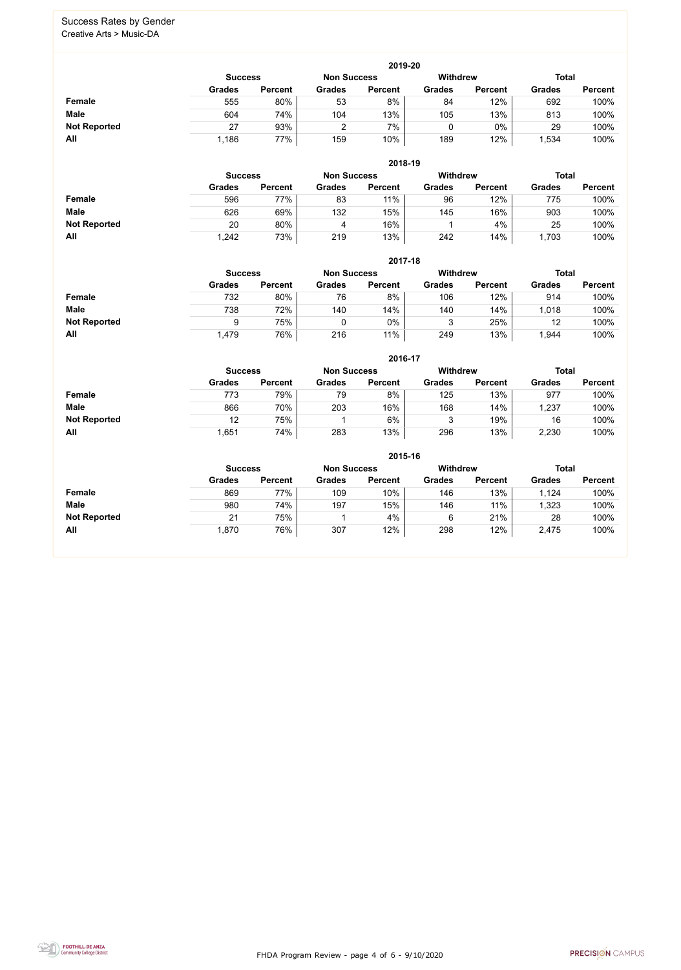FHDA Program Review - page 4 of 6 - 9/10/2020



#### Success Rates by Gender Creative Arts > Music-DA

|                     |               | 2019-20                              |               |                |               |                 |               |                |  |  |  |  |  |
|---------------------|---------------|--------------------------------------|---------------|----------------|---------------|-----------------|---------------|----------------|--|--|--|--|--|
|                     |               | <b>Non Success</b><br><b>Success</b> |               |                |               | <b>Withdrew</b> | <b>Total</b>  |                |  |  |  |  |  |
|                     | <b>Grades</b> | <b>Percent</b>                       | <b>Grades</b> | <b>Percent</b> | <b>Grades</b> | <b>Percent</b>  | <b>Grades</b> | <b>Percent</b> |  |  |  |  |  |
| Female              | 555           | 80%                                  | 53            | 8%             | 84            | 12%             | 692           | 100%           |  |  |  |  |  |
| <b>Male</b>         | 604           | 74%                                  | 104           | 13%            | 105           | 13%             | 813           | 100%           |  |  |  |  |  |
| <b>Not Reported</b> | 27            | 93%                                  |               | 7%             |               | $0\%$           | 29            | 100%           |  |  |  |  |  |
| All                 | 1,186         | 77%                                  | 159           | 10%            | 189           | 12%             | ,534          | 100%           |  |  |  |  |  |

|                     |               |                                      |               | 2018-19        |               |                 |               |                |
|---------------------|---------------|--------------------------------------|---------------|----------------|---------------|-----------------|---------------|----------------|
|                     |               | <b>Non Success</b><br><b>Success</b> |               |                |               | <b>Withdrew</b> | <b>Total</b>  |                |
|                     | <b>Grades</b> | <b>Percent</b>                       | <b>Grades</b> | <b>Percent</b> | <b>Grades</b> | <b>Percent</b>  | <b>Grades</b> | <b>Percent</b> |
| Female              | 596           | 77%                                  | 83            | 11%            | 96            | 12%             | 775           | 100%           |
| <b>Male</b>         | 626           | 69%                                  | 132           | 15%            | 145           | 16%             | 903           | 100%           |
| <b>Not Reported</b> | 20            | 80%                                  | 4             | 16%            |               | 4%              | 25            | 100%           |
| All                 | 1,242         | 73%                                  | 219           | 13%            | 242           | 14%             | 1,703         | 100%           |

|                     |                |                |                    |                | 2017-18         |                |               |                |  |
|---------------------|----------------|----------------|--------------------|----------------|-----------------|----------------|---------------|----------------|--|
|                     | <b>Success</b> |                | <b>Non Success</b> |                | <b>Withdrew</b> |                | <b>Total</b>  |                |  |
|                     | <b>Grades</b>  | <b>Percent</b> | <b>Grades</b>      | <b>Percent</b> | <b>Grades</b>   | <b>Percent</b> | <b>Grades</b> | <b>Percent</b> |  |
| Female              | 732            | 80%            | 76                 | 8%             | 106             | 12%            | 914           | 100%           |  |
| <b>Male</b>         | 738            | 72%            | 140                | 14%            | 140             | 14%            | 1,018         | 100%           |  |
| <b>Not Reported</b> | 9              | 75%            |                    | $0\%$          | 3               | 25%            | 12            | 100%           |  |
| All                 | <b>479,</b>    | 76%            | 216                | 11%            | 249             | 13%            | ,944          | 100%           |  |

|                     |               | 2016-17                                                 |               |                |               |                |               |                |  |  |
|---------------------|---------------|---------------------------------------------------------|---------------|----------------|---------------|----------------|---------------|----------------|--|--|
|                     |               | <b>Withdrew</b><br><b>Non Success</b><br><b>Success</b> |               |                |               |                |               | <b>Total</b>   |  |  |
|                     | <b>Grades</b> | <b>Percent</b>                                          | <b>Grades</b> | <b>Percent</b> | <b>Grades</b> | <b>Percent</b> | <b>Grades</b> | <b>Percent</b> |  |  |
| Female              | 773           | 79%                                                     | 79            | 8%             | 125           | 13%            | 977           | 100%           |  |  |
| <b>Male</b>         | 866           | 70%                                                     | 203           | 16%            | 168           | 14%            | 1,237         | 100%           |  |  |
| <b>Not Reported</b> | 12            | 75%                                                     |               | 6%             | 3             | 19%            | 16            | 100%           |  |  |
| All                 | 651,ا         | 74%                                                     | 283           | 13%            | 296           | 13%            | 2,230         | 100%           |  |  |

|                     |                |                |                    | 2015-16         |               |                |               |                |
|---------------------|----------------|----------------|--------------------|-----------------|---------------|----------------|---------------|----------------|
|                     | <b>Success</b> |                | <b>Non Success</b> | <b>Withdrew</b> |               | <b>Total</b>   |               |                |
|                     | <b>Grades</b>  | <b>Percent</b> | <b>Grades</b>      | <b>Percent</b>  | <b>Grades</b> | <b>Percent</b> | <b>Grades</b> | <b>Percent</b> |
| <b>Female</b>       | 869            | 77%            | 109                | 10%             | 146           | 13%            | 1,124         | 100%           |
| <b>Male</b>         | 980            | 74%            | 197                | 15%             | 146           | 11%            | 1,323         | 100%           |
| <b>Not Reported</b> | 21             | 75%            |                    | 4%              | 6             | 21%            | 28            | 100%           |
| All                 | 1,870          | 76%            | 307                | 12%             | 298           | 12%            | 2,475         | 100%           |

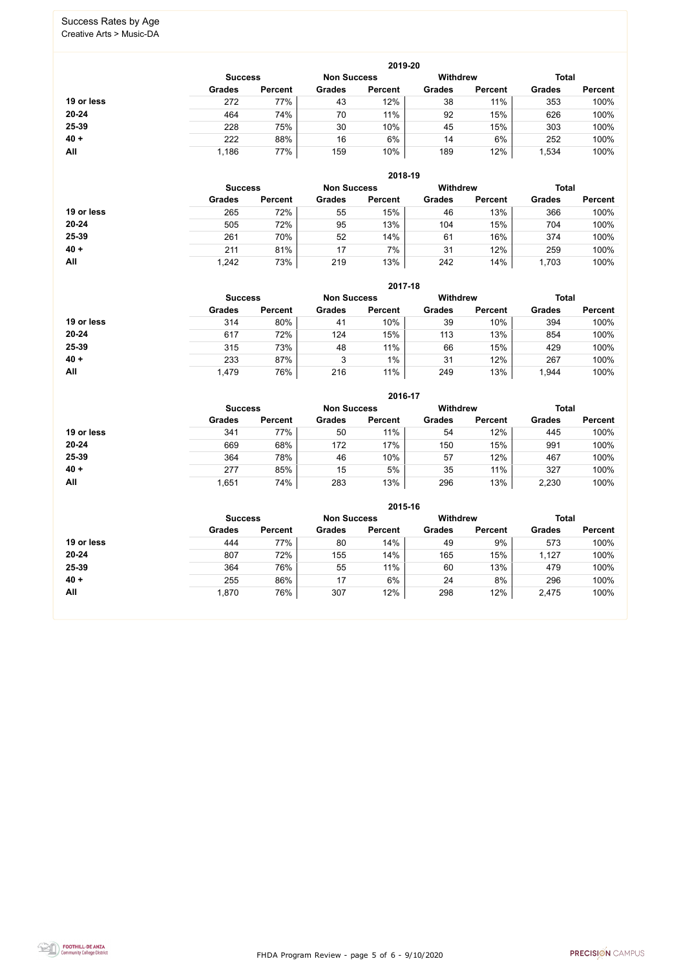FHDA Program Review - page 5 of 6 - 9/10/2020



#### Success Rates by Age Creative Arts > Music-DA

|            |                |                    |               | 2019-20         |               |                |               |                |
|------------|----------------|--------------------|---------------|-----------------|---------------|----------------|---------------|----------------|
|            | <b>Success</b> | <b>Non Success</b> |               | <b>Withdrew</b> |               | <b>Total</b>   |               |                |
|            | <b>Grades</b>  | <b>Percent</b>     | <b>Grades</b> | <b>Percent</b>  | <b>Grades</b> | <b>Percent</b> | <b>Grades</b> | <b>Percent</b> |
| 19 or less | 272            | 77%                | 43            | 12%             | 38            | 11%            | 353           | 100%           |
| $20 - 24$  | 464            | 74%                | 70            | 11%             | 92            | 15%            | 626           | 100%           |
| 25-39      | 228            | 75%                | 30            | 10%             | 45            | 15%            | 303           | 100%           |
| $40 +$     | 222            | 88%                | 16            | 6%              | 14            | 6%             | 252           | 100%           |
| All        | 1,186          | 77%                | 159           | 10%             | 189           | 12%            | 1,534         | 100%           |

|            |                |                    |               | 2018-19         |               |                |               |                |
|------------|----------------|--------------------|---------------|-----------------|---------------|----------------|---------------|----------------|
|            | <b>Success</b> | <b>Non Success</b> |               | <b>Withdrew</b> |               | <b>Total</b>   |               |                |
|            | <b>Grades</b>  | <b>Percent</b>     | <b>Grades</b> | <b>Percent</b>  | <b>Grades</b> | <b>Percent</b> | <b>Grades</b> | <b>Percent</b> |
| 19 or less | 265            | 72%                | 55            | 15%             | 46            | 13%            | 366           | 100%           |
| $20 - 24$  | 505            | 72%                | 95            | 13%             | 104           | 15%            | 704           | 100%           |
| 25-39      | 261            | 70%                | 52            | 14%             | 61            | 16%            | 374           | 100%           |
| $40 +$     | 211            | 81%                | 17            | 7%              | 31            | 12%            | 259           | 100%           |
| All        | 1,242          | 73%                | 219           | 13%             | 242           | 14%            | 1,703         | 100%           |

|            |                                      |                |               | 2017-18        |                 |                |               |                |
|------------|--------------------------------------|----------------|---------------|----------------|-----------------|----------------|---------------|----------------|
|            | <b>Non Success</b><br><b>Success</b> |                |               |                | <b>Withdrew</b> |                | <b>Total</b>  |                |
|            | <b>Grades</b>                        | <b>Percent</b> | <b>Grades</b> | <b>Percent</b> | <b>Grades</b>   | <b>Percent</b> | <b>Grades</b> | <b>Percent</b> |
| 19 or less | 314                                  | 80%            | 41            | 10%            | 39              | 10%            | 394           | 100%           |
| $20 - 24$  | 617                                  | 72%            | 124           | 15%            | 113             | 13%            | 854           | 100%           |
| 25-39      | 315                                  | 73%            | 48            | 11%            | 66              | 15%            | 429           | 100%           |
| $40 +$     | 233                                  | 87%            | 3             | $1\%$          | 31              | 12%            | 267           | 100%           |
| All        | 1,479                                | 76%            | 216           | 11%            | 249             | 13%            | ,944          | 100%           |

|            |                |                    |               | 2016-17         |               |                |               |                |
|------------|----------------|--------------------|---------------|-----------------|---------------|----------------|---------------|----------------|
|            | <b>Success</b> | <b>Non Success</b> |               | <b>Withdrew</b> |               | <b>Total</b>   |               |                |
|            | <b>Grades</b>  | <b>Percent</b>     | <b>Grades</b> | <b>Percent</b>  | <b>Grades</b> | <b>Percent</b> | <b>Grades</b> | <b>Percent</b> |
| 19 or less | 341            | 77%                | 50            | 11%             | 54            | 12%            | 445           | 100%           |
| $20 - 24$  | 669            | 68%                | 172           | 17%             | 150           | 15%            | 991           | 100%           |
| 25-39      | 364            | 78%                | 46            | 10%             | 57            | 12%            | 467           | 100%           |
| $40 +$     | 277            | 85%                | 15            | 5%              | 35            | 11%            | 327           | 100%           |
| All        | .651           | 74%                | 283           | 13%             | 296           | 13%            | 2,230         | 100%           |

|            |                                      |                |               | 2015-16        |                 |                |               |                |
|------------|--------------------------------------|----------------|---------------|----------------|-----------------|----------------|---------------|----------------|
|            | <b>Non Success</b><br><b>Success</b> |                |               |                | <b>Withdrew</b> |                | <b>Total</b>  |                |
|            | <b>Grades</b>                        | <b>Percent</b> | <b>Grades</b> | <b>Percent</b> | <b>Grades</b>   | <b>Percent</b> | <b>Grades</b> | <b>Percent</b> |
| 19 or less | 444                                  | 77%            | 80            | 14%            | 49              | 9%             | 573           | 100%           |
| $20 - 24$  | 807                                  | 72%            | 155           | 14%            | 165             | 15%            | 1,127         | 100%           |
| 25-39      | 364                                  | 76%            | 55            | 11%            | 60              | 13%            | 479           | 100%           |
| $40 +$     | 255                                  | 86%            | 17            | 6%             | 24              | 8%             | 296           | 100%           |
| All        | 1,870                                | 76%            | 307           | 12%            | 298             | 12%            | 2,475         | 100%           |